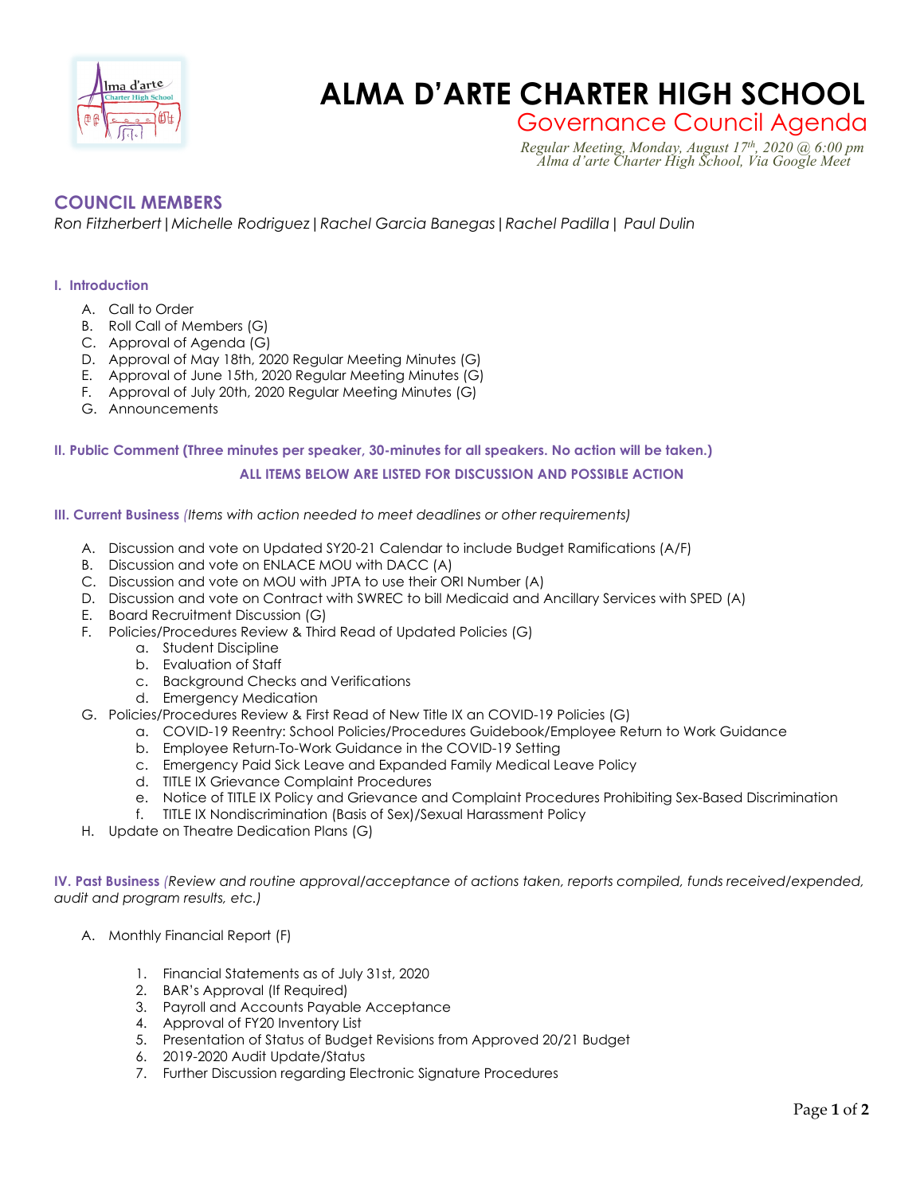

# **Enged Engine CHARTER HIGH SCHOOL**

Governance Council Agenda *Regular Meeting, Monday, August 17th, 2020 @ 6:00 pm Alma d'arte Charter High School, Via Google Meet*

# **COUNCIL MEMBERS**

*Ron Fitzherbert|Michelle Rodriguez|Rachel Garcia Banegas|Rachel Padilla| Paul Dulin*

## **I. Introduction**

- A. Call to Order
- B. Roll Call of Members (G)
- C. Approval of Agenda (G)
- D. Approval of May 18th, 2020 Regular Meeting Minutes (G)
- E. Approval of June 15th, 2020 Regular Meeting Minutes (G)
- F. Approval of July 20th, 2020 Regular Meeting Minutes (G)
- G. Announcements

# **II. Public Comment (Three minutes per speaker, 30-minutes for all speakers. No action will be taken.) ALL ITEMS BELOW ARE LISTED FOR DISCUSSION AND POSSIBLE ACTION**

#### **III. Current Business** *(Items with action needed to meet deadlines or other requirements)*

- A. Discussion and vote on Updated SY20-21 Calendar to include Budget Ramifications (A/F)
- B. Discussion and vote on ENLACE MOU with DACC (A)
- C. Discussion and vote on MOU with JPTA to use their ORI Number (A)
- D. Discussion and vote on Contract with SWREC to bill Medicaid and Ancillary Services with SPED (A)
- E. Board Recruitment Discussion (G)
- F. Policies/Procedures Review & Third Read of Updated Policies (G)
	- a. Student Discipline
	- b. Evaluation of Staff
	- c. Background Checks and Verifications
	- d. Emergency Medication
- G. Policies/Procedures Review & First Read of New Title IX an COVID-19 Policies (G)
	- a. COVID-19 Reentry: School Policies/Procedures Guidebook/Employee Return to Work Guidance
	- b. Employee Return-To-Work Guidance in the COVID-19 Setting
	- c. Emergency Paid Sick Leave and Expanded Family Medical Leave Policy
	- d. TITLE IX Grievance Complaint Procedures
	- e. Notice of TITLE IX Policy and Grievance and Complaint Procedures Prohibiting Sex-Based Discrimination
	- f. TITLE IX Nondiscrimination (Basis of Sex)/Sexual Harassment Policy
- H. Update on Theatre Dedication Plans (G)

**IV. Past Business** *(Review and routine approval/acceptance of actions taken, reports compiled, funds received/expended, audit and program results, etc.)*

- A. Monthly Financial Report (F)
	- 1. Financial Statements as of July 31st, 2020
	- 2. BAR's Approval (If Required)
	- 3. Payroll and Accounts Payable Acceptance
	- 4. Approval of FY20 Inventory List
	- 5. Presentation of Status of Budget Revisions from Approved 20/21 Budget
	- 6. 2019-2020 Audit Update/Status
	- 7. Further Discussion regarding Electronic Signature Procedures